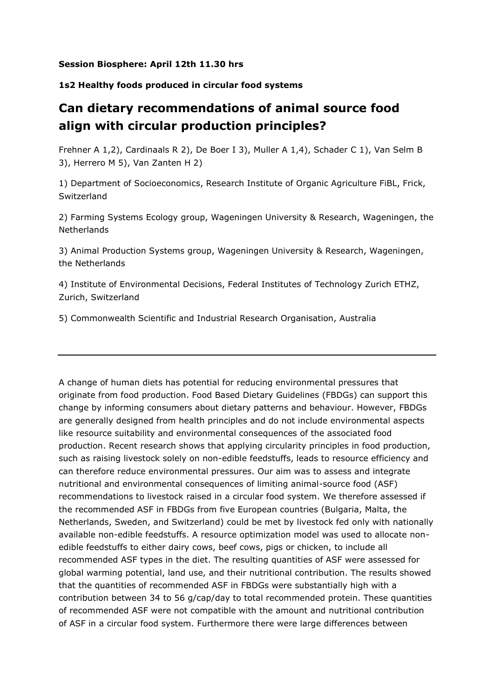## **Session Biosphere: April 12th 11.30 hrs**

## **1s2 Healthy foods produced in circular food systems**

## **Can dietary recommendations of animal source food align with circular production principles?**

Frehner A 1,2), Cardinaals R 2), De Boer I 3), Muller A 1,4), Schader C 1), Van Selm B 3), Herrero M 5), Van Zanten H 2)

1) Department of Socioeconomics, Research Institute of Organic Agriculture FiBL, Frick, Switzerland

2) Farming Systems Ecology group, Wageningen University & Research, Wageningen, the **Netherlands** 

3) Animal Production Systems group, Wageningen University & Research, Wageningen, the Netherlands

4) Institute of Environmental Decisions, Federal Institutes of Technology Zurich ETHZ, Zurich, Switzerland

5) Commonwealth Scientific and Industrial Research Organisation, Australia

A change of human diets has potential for reducing environmental pressures that originate from food production. Food Based Dietary Guidelines (FBDGs) can support this change by informing consumers about dietary patterns and behaviour. However, FBDGs are generally designed from health principles and do not include environmental aspects like resource suitability and environmental consequences of the associated food production. Recent research shows that applying circularity principles in food production, such as raising livestock solely on non-edible feedstuffs, leads to resource efficiency and can therefore reduce environmental pressures. Our aim was to assess and integrate nutritional and environmental consequences of limiting animal-source food (ASF) recommendations to livestock raised in a circular food system. We therefore assessed if the recommended ASF in FBDGs from five European countries (Bulgaria, Malta, the Netherlands, Sweden, and Switzerland) could be met by livestock fed only with nationally available non-edible feedstuffs. A resource optimization model was used to allocate nonedible feedstuffs to either dairy cows, beef cows, pigs or chicken, to include all recommended ASF types in the diet. The resulting quantities of ASF were assessed for global warming potential, land use, and their nutritional contribution. The results showed that the quantities of recommended ASF in FBDGs were substantially high with a contribution between 34 to 56 g/cap/day to total recommended protein. These quantities of recommended ASF were not compatible with the amount and nutritional contribution of ASF in a circular food system. Furthermore there were large differences between